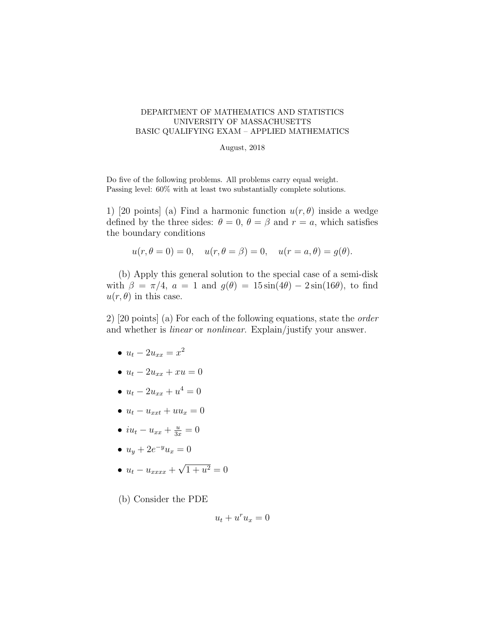## DEPARTMENT OF MATHEMATICS AND STATISTICS UNIVERSITY OF MASSACHUSETTS BASIC QUALIFYING EXAM – APPLIED MATHEMATICS

## August, 2018

Do five of the following problems. All problems carry equal weight. Passing level: 60% with at least two substantially complete solutions.

1) [20 points] (a) Find a harmonic function  $u(r, \theta)$  inside a wedge defined by the three sides:  $\theta = 0$ ,  $\theta = \beta$  and  $r = a$ , which satisfies the boundary conditions

$$
u(r, \theta = 0) = 0
$$
,  $u(r, \theta = \beta) = 0$ ,  $u(r = a, \theta) = g(\theta)$ .

(b) Apply this general solution to the special case of a semi-disk with  $\beta = \pi/4$ ,  $a = 1$  and  $g(\theta) = 15 \sin(4\theta) - 2 \sin(16\theta)$ , to find  $u(r, \theta)$  in this case.

2) [20 points] (a) For each of the following equations, state the order and whether is linear or nonlinear. Explain/justify your answer.

- $u_t 2u_{xx} = x^2$
- $u_t 2u_{xx} + xu = 0$
- $u_t 2u_{xx} + u^4 = 0$
- $u_t u_{xxt} + uu_x = 0$
- $iu_t u_{xx} + \frac{u}{3x} = 0$
- $u_y + 2e^{-y}u_x = 0$
- $u_t u_{xxxx} +$ √  $1 + u^2 = 0$
- (b) Consider the PDE

$$
u_t + u^r u_x = 0
$$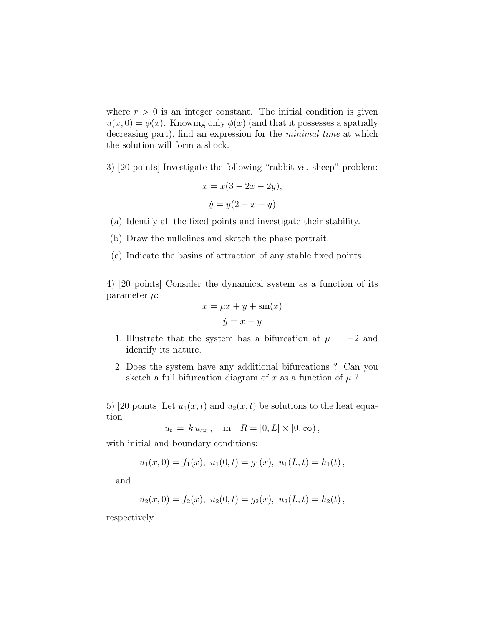where  $r > 0$  is an integer constant. The initial condition is given  $u(x, 0) = \phi(x)$ . Knowing only  $\phi(x)$  (and that it possesses a spatially decreasing part), find an expression for the *minimal time* at which the solution will form a shock.

3) [20 points] Investigate the following "rabbit vs. sheep" problem:

$$
\dot{x} = x(3 - 2x - 2y),
$$
  

$$
\dot{y} = y(2 - x - y)
$$

- (a) Identify all the fixed points and investigate their stability.
- (b) Draw the nullclines and sketch the phase portrait.
- (c) Indicate the basins of attraction of any stable fixed points.

4) [20 points] Consider the dynamical system as a function of its parameter  $\mu$ :

$$
\dot{x} = \mu x + y + \sin(x)
$$

$$
\dot{y} = x - y
$$

- 1. Illustrate that the system has a bifurcation at  $\mu = -2$  and identify its nature.
- 2. Does the system have any additional bifurcations ? Can you sketch a full bifurcation diagram of x as a function of  $\mu$ ?

5) [20 points] Let  $u_1(x,t)$  and  $u_2(x,t)$  be solutions to the heat equation

$$
u_t = k u_{xx}
$$
, in  $R = [0, L] \times [0, \infty)$ ,

with initial and boundary conditions:

$$
u_1(x, 0) = f_1(x), u_1(0,t) = g_1(x), u_1(L,t) = h_1(t),
$$

and

$$
u_2(x, 0) = f_2(x), u_2(0,t) = g_2(x), u_2(L,t) = h_2(t),
$$

respectively.